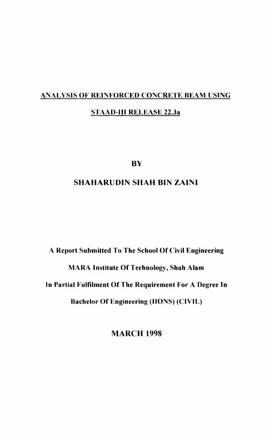## **ANALYSIS OF REINFORCED CONCRETE BEAM USING STAAD-III RELEASE 22.3a**

**BY**

### **SHAHARUDIN SHAH BIN ZAINI**

# **A Report Submitted To The School Of Civil Engineering MARA Institute Of Technology, Shah Alam In Partial Fulfilment Of The Requirement For A Degree In Bachelor Of Engineering (HONS) (CIVIL)**

**MARCH 1998**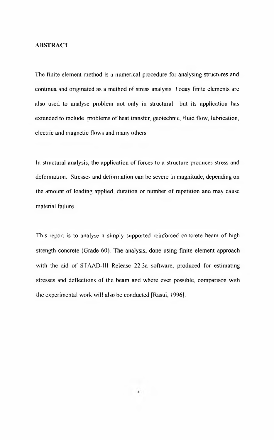#### **ABSTRACT**

The finite element method is a numerical procedure for analysing structures and continua and originated as a method of stress analysis. Today finite elements are also used to analyse problem not only in structural but its application has extended to include problems of heat transfer, geotechnic, fluid flow, lubrication, electric and magnetic flows and many others.

In structural analysis, the application of forces to a structure produces stress and deformation. Stresses and deformation can be severe in magnitude, depending on the amount of loading applied, duration or number of repetition and may cause material failure.

This report is to analyse a simply supported reinforced concrete beam of high strength concrete (Grade 60). The analysis, done using finite element approach with the aid of STAAD-III Release 22.3a software, produced for estimating stresses and deflections of the beam and where ever possible, comparison with the experimental work will also be conducted [Rasul, 1996],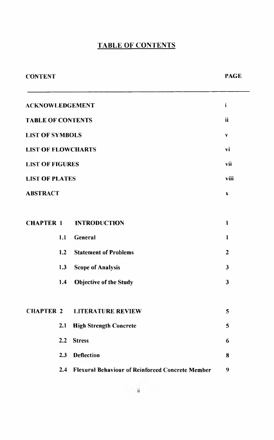## **TABLE OF CONTENTS**

| <b>CONTENT</b>            |                                                      | <b>PAGE</b>             |  |
|---------------------------|------------------------------------------------------|-------------------------|--|
| <b>ACKNOWLEDGEMENT</b>    |                                                      |                         |  |
| <b>TABLE OF CONTENTS</b>  |                                                      |                         |  |
| <b>LIST OF SYMBOLS</b>    |                                                      |                         |  |
| <b>LIST OF FLOWCHARTS</b> |                                                      |                         |  |
| <b>LIST OF FIGURES</b>    |                                                      |                         |  |
| <b>LIST OF PLATES</b>     |                                                      |                         |  |
| <b>ABSTRACT</b>           |                                                      |                         |  |
|                           |                                                      |                         |  |
| <b>CHAPTER 1</b>          | <b>INTRODUCTION</b>                                  | $\mathbf{1}$            |  |
| 1.1                       | General                                              | $\mathbf{1}$            |  |
| 1.2                       | <b>Statement of Problems</b>                         | $\mathbf{2}$            |  |
| 1.3                       | <b>Scope of Analysis</b>                             | $\mathbf{3}$            |  |
| 1.4                       | <b>Objective of the Study</b>                        | $\overline{\mathbf{3}}$ |  |
|                           |                                                      |                         |  |
| <b>CHAPTER 2</b>          | <b>LITERATURE REVIEW</b>                             | 5                       |  |
| 2.1                       | <b>High Strength Concrete</b>                        | 5                       |  |
| 2.2                       | <b>Stress</b>                                        | 6                       |  |
| 2.3                       | <b>Deflection</b>                                    | 8                       |  |
|                           | 2.4 Flexural Behaviour of Reinforced Concrete Member | 9                       |  |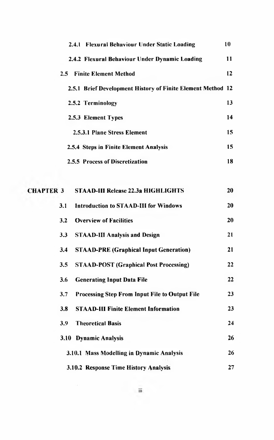|                  |         | 2.4.1 Flexural Behaviour Under Static Loading               | 10 |
|------------------|---------|-------------------------------------------------------------|----|
|                  |         | 2.4.2 Flexural Behaviour Under Dynamic Loading              | 11 |
|                  | $2.5 -$ | <b>Finite Element Method</b>                                | 12 |
|                  |         | 2.5.1 Brief Development History of Finite Element Method 12 |    |
|                  |         | 2.5.2 Terminology                                           | 13 |
|                  |         | 2.5.3 Element Types                                         | 14 |
|                  |         | 2.5.3.1 Plane Stress Element                                | 15 |
|                  |         | 2.5.4 Steps in Finite Element Analysis                      | 15 |
|                  |         | 2.5.5 Process of Discretization                             | 18 |
|                  |         |                                                             |    |
| <b>CHAPTER 3</b> |         | <b>STAAD-III Release 22.3a HIGHLIGHTS</b>                   | 20 |
|                  | 3.1     | <b>Introduction to STAAD-III for Windows</b>                | 20 |
|                  | 3.2     | <b>Overview of Facilities</b>                               | 20 |
|                  | 3.3     | <b>STAAD-III Analysis and Design</b>                        | 21 |
|                  | 3.4     | <b>STAAD-PRE (Graphical Input Generation)</b>               | 21 |
|                  | 3.5     | <b>STAAD-POST (Graphical Post Processing)</b>               | 22 |
|                  | 3.6     | <b>Generating Input Data File</b>                           | 22 |
|                  | 3.7     | Processing Step From Input File to Output File              | 23 |
|                  | 3.8     | <b>STAAD-III Finite Element Information</b>                 | 23 |
|                  | 3.9     | <b>Theoretical Basis</b>                                    | 24 |
|                  |         | 3.10 Dynamic Analysis                                       | 26 |
|                  |         | 3.10.1 Mass Modelling in Dynamic Analysis                   | 26 |
|                  |         | 3.10.2 Response Time History Analysis                       | 27 |